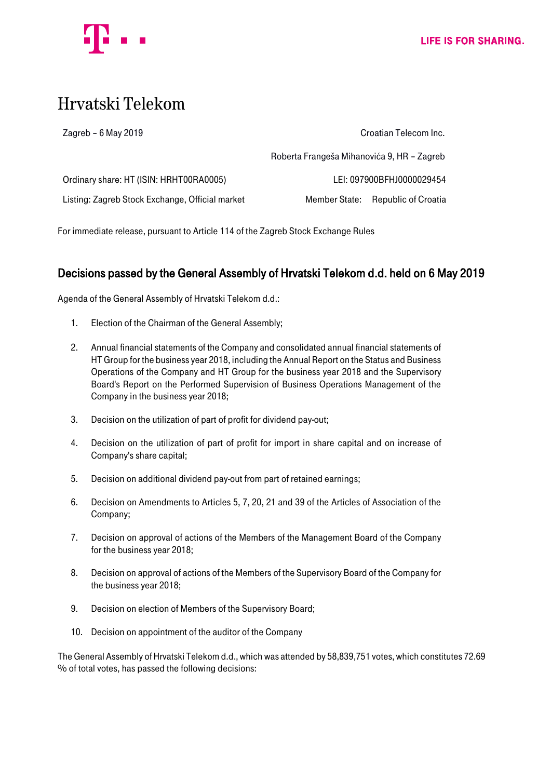

# Hrvatski Telekom

| Zagreb $-6$ May 2019                            | Croatian Telecom Inc.                      |                                   |
|-------------------------------------------------|--------------------------------------------|-----------------------------------|
|                                                 | Roberta Frangeša Mihanovića 9, HR - Zagreb |                                   |
| Ordinary share: HT (ISIN: HRHT00RA0005)         | LEI: 097900BFHJ0000029454                  |                                   |
| Listing: Zagreb Stock Exchange, Official market |                                            | Member State: Republic of Croatia |

For immediate release, pursuant to Article 114 of the Zagreb Stock Exchange Rules

# Decisions passed by the General Assembly of Hrvatski Telekom d.d. held on 6 May 2019

Agenda of the General Assembly of Hrvatski Telekom d.d.:

- 1. Election of the Chairman of the General Assembly;
- 2. Annual financial statements of the Company and consolidated annual financial statements of HT Group for the business year 2018, including the Annual Report on the Status and Business Operations of the Company and HT Group for the business year 2018 and the Supervisory Board's Report on the Performed Supervision of Business Operations Management of the Company in the business year 2018;
- 3. Decision on the utilization of part of profit for dividend pay-out;
- 4. Decision on the utilization of part of profit for import in share capital and on increase of Company's share capital;
- 5. Decision on additional dividend pay-out from part of retained earnings;
- 6. Decision on Amendments to Articles 5, 7, 20, 21 and 39 of the Articles of Association of the Company;
- 7. Decision on approval of actions of the Members of the Management Board of the Company for the business year 2018;
- 8. Decision on approval of actions of the Members of the Supervisory Board of the Company for the business year 2018;
- 9. Decision on election of Members of the Supervisory Board;
- 10. Decision on appointment of the auditor of the Company

The General Assembly of Hrvatski Telekom d.d., which was attended by 58,839,751 votes, which constitutes 72.69 % of total votes, has passed the following decisions: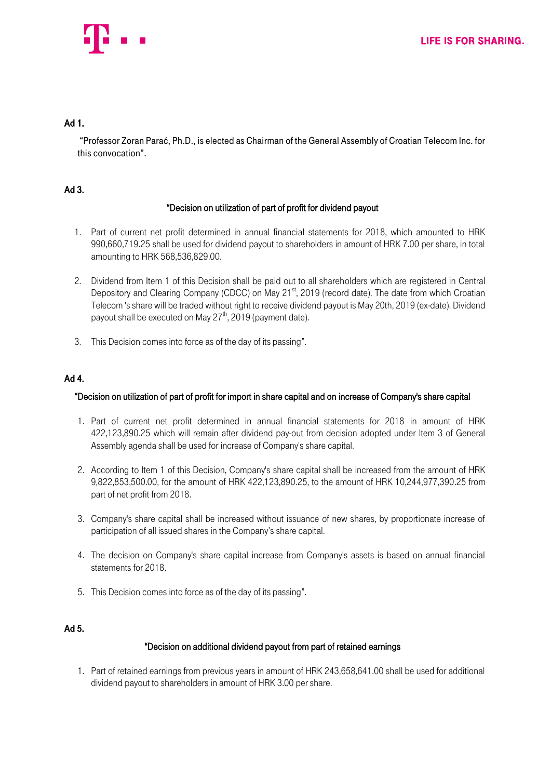

## Ad 1.

"Professor Zoran Parać, Ph.D., is elected as Chairman of the General Assembly of Croatian Telecom Inc. for this convocation".

# Ad 3.

#### "Decision on utilization of part of profit for dividend payout

- 1. Part of current net profit determined in annual financial statements for 2018, which amounted to HRK 990,660,719.25 shall be used for dividend payout to shareholders in amount of HRK 7.00 per share, in total amounting to HRK 568,536,829.00.
- 2. Dividend from Item 1 of this Decision shall be paid out to all shareholders which are registered in Central Depository and Clearing Company (CDCC) on May 21<sup>st</sup>, 2019 (record date). The date from which Croatian Telecom 's share will be traded without right to receive dividend payout is May 20th, 2019 (ex-date). Dividend payout shall be executed on May  $27^{th}$ , 2019 (payment date).
- 3. This Decision comes into force as of the day of its passing".

# Ad 4.

#### "Decision on utilization of part of profit for import in share capital and on increase of Company's share capital

- 1. Part of current net profit determined in annual financial statements for 2018 in amount of HRK 422,123,890.25 which will remain after dividend pay-out from decision adopted under Item 3 of General Assembly agenda shall be used for increase of Company's share capital.
- 2. According to Item 1 of this Decision, Company's share capital shall be increased from the amount of HRK 9,822,853,500.00, for the amount of HRK 422,123,890.25, to the amount of HRK 10,244,977,390.25 from part of net profit from 2018.
- 3. Company's share capital shall be increased without issuance of new shares, by proportionate increase of participation of all issued shares in the Company's share capital.
- 4. The decision on Company's share capital increase from Company's assets is based on annual financial statements for 2018.
- 5. This Decision comes into force as of the day of its passing".

# Ad 5.

# "Decision on additional dividend payout from part of retained earnings

1. Part of retained earnings from previous years in amount of HRK 243,658,641.00 shall be used for additional dividend payout to shareholders in amount of HRK 3.00 per share.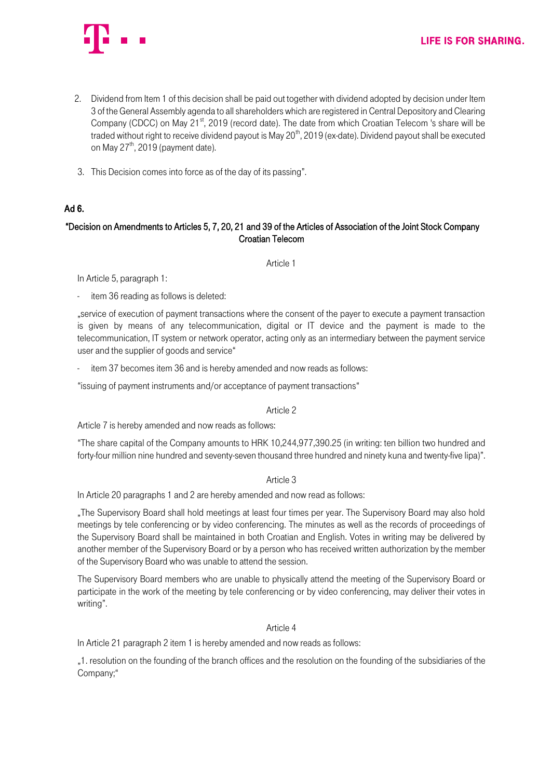

- 2. Dividend from Item 1 of this decision shall be paid out together with dividend adopted by decision under Item 3 of the General Assembly agenda to all shareholders which are registered in Central Depository and Clearing Company (CDCC) on May 21<sup>st</sup>, 2019 (record date). The date from which Croatian Telecom 's share will be traded without right to receive dividend payout is May 20<sup>th</sup>, 2019 (ex-date). Dividend payout shall be executed on May  $27<sup>th</sup>$ , 2019 (payment date).
- 3. This Decision comes into force as of the day of its passing".

#### Ad 6.

## "Decision on Amendments to Articles 5, 7, 20, 21 and 39 of the Articles of Association of the Joint Stock Company Croatian Telecom

Article 1

In Article 5, paragraph 1:

item 36 reading as follows is deleted:

"service of execution of payment transactions where the consent of the payer to execute a payment transaction is given by means of any telecommunication, digital or IT device and the payment is made to the telecommunication, IT system or network operator, acting only as an intermediary between the payment service user and the supplier of goods and service"

item 37 becomes item 36 and is hereby amended and now reads as follows:

"issuing of payment instruments and/or acceptance of payment transactions"

#### Article 2

Article 7 is hereby amended and now reads as follows:

"The share capital of the Company amounts to HRK 10,244,977,390.25 (in writing: ten billion two hundred and forty-four million nine hundred and seventy-seven thousand three hundred and ninety kuna and twenty-five lipa)".

#### Article 3

In Article 20 paragraphs 1 and 2 are hereby amended and now read as follows:

"The Supervisory Board shall hold meetings at least four times per year. The Supervisory Board may also hold meetings by tele conferencing or by video conferencing. The minutes as well as the records of proceedings of the Supervisory Board shall be maintained in both Croatian and English. Votes in writing may be delivered by another member of the Supervisory Board or by a person who has received written authorization by the member of the Supervisory Board who was unable to attend the session.

The Supervisory Board members who are unable to physically attend the meeting of the Supervisory Board or participate in the work of the meeting by tele conferencing or by video conferencing, may deliver their votes in writing".

#### Article 4

In Article 21 paragraph 2 item 1 is hereby amended and now reads as follows:

"1. resolution on the founding of the branch offices and the resolution on the founding of the subsidiaries of the Company;"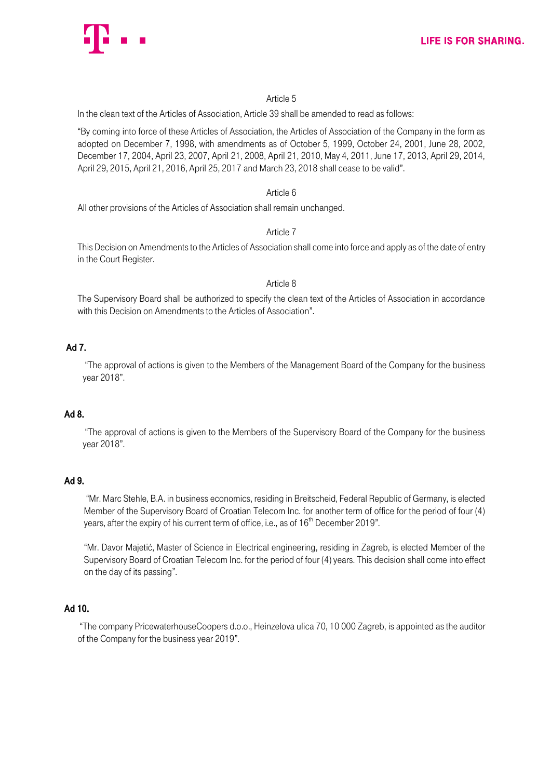

#### Article 5

In the clean text of the Articles of Association, Article 39 shall be amended to read as follows:

"By coming into force of these Articles of Association, the Articles of Association of the Company in the form as adopted on December 7, 1998, with amendments as of October 5, 1999, October 24, 2001, June 28, 2002, December 17, 2004, April 23, 2007, April 21, 2008, April 21, 2010, May 4, 2011, June 17, 2013, April 29, 2014, April 29, 2015, April 21, 2016, April 25, 2017 and March 23, 2018 shall cease to be valid".

#### Article 6

All other provisions of the Articles of Association shall remain unchanged.

#### Article 7

This Decision on Amendments to the Articles of Association shall come into force and apply as of the date of entry in the Court Register.

#### Article 8

The Supervisory Board shall be authorized to specify the clean text of the Articles of Association in accordance with this Decision on Amendments to the Articles of Association".

# Ad 7.

"The approval of actions is given to the Members of the Management Board of the Company for the business year 2018".

# Ad 8.

"The approval of actions is given to the Members of the Supervisory Board of the Company for the business year 2018".

# Ad 9.

"Mr. Marc Stehle, B.A. in business economics, residing in Breitscheid, Federal Republic of Germany, is elected Member of the Supervisory Board of Croatian Telecom Inc. for another term of office for the period of four (4) years, after the expiry of his current term of office, i.e., as of 16<sup>th</sup> December 2019".

"Mr. Davor Majetić, Master of Science in Electrical engineering, residing in Zagreb, is elected Member of the Supervisory Board of Croatian Telecom Inc. for the period of four (4) years. This decision shall come into effect on the day of its passing".

# Ad 10.

"The company PricewaterhouseCoopers d.o.o., Heinzelova ulica 70, 10 000 Zagreb, is appointed as the auditor of the Company for the business year 2019".